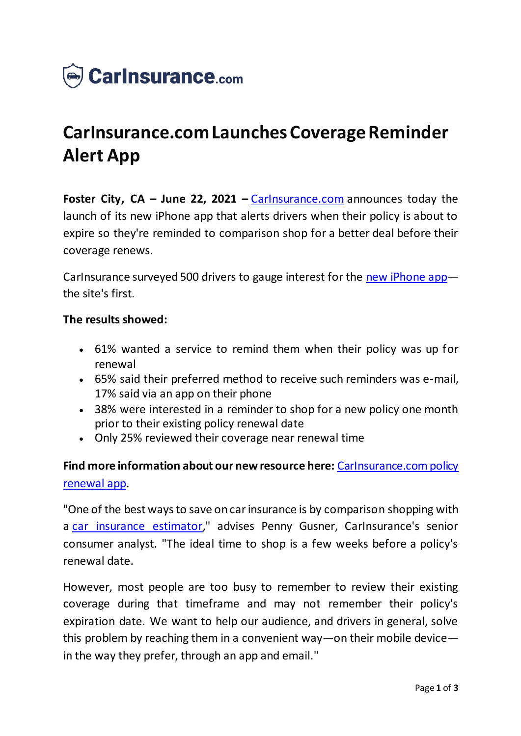

## **CarInsurance.com Launches Coverage Reminder Alert App**

**Foster City, CA – June 22, 2021 –** [CarInsurance.com](https://www.carinsurance.com/) announces today the launch of its new iPhone app that alerts drivers when their policy is about to expire so they're reminded to comparison shop for a better deal before their coverage renews.

CarInsurance surveyed 500 drivers to gauge interest for the [new iPhone app](https://www.carinsurance.com/mobile-app/) the site's first.

## **The results showed:**

- 61% wanted a service to remind them when their policy was up for renewal
- 65% said their preferred method to receive such reminders was e-mail, 17% said via an app on their phone
- 38% were interested in a reminder to shop for a new policy one month prior to their existing policy renewal date
- Only 25% reviewed their coverage near renewal time

**Find more information about our new resource here:** [CarInsurance.com policy](https://www.carinsurance.com/car-insurance-app-guide/)  [renewal app.](https://www.carinsurance.com/car-insurance-app-guide/)

"One of the best ways to save on car insurance is by comparison shopping with a [car insurance estimator](https://www.carinsurance.com/car-insurance-estimator.aspx)," advises Penny Gusner, CarInsurance's senior consumer analyst. "The ideal time to shop is a few weeks before a policy's renewal date.

However, most people are too busy to remember to review their existing coverage during that timeframe and may not remember their policy's expiration date. We want to help our audience, and drivers in general, solve this problem by reaching them in a convenient way—on their mobile device in the way they prefer, through an app and email."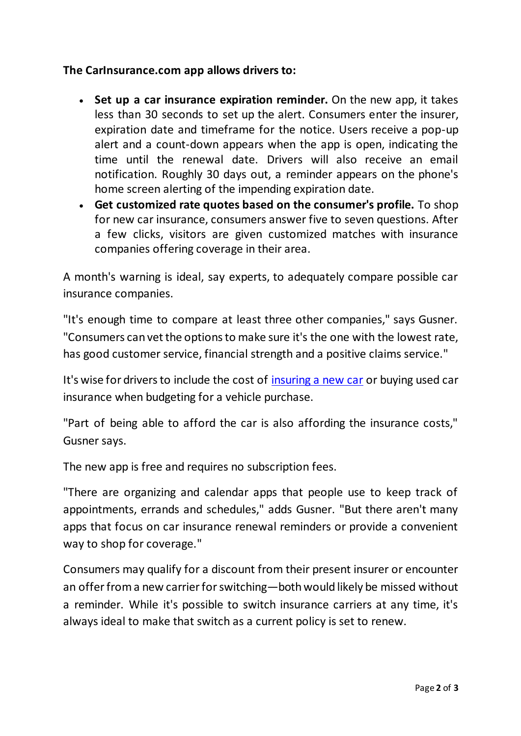## **The CarInsurance.com app allows drivers to:**

- **Set up a car insurance expiration reminder.** On the new app, it takes less than 30 seconds to set up the alert. Consumers enter the insurer, expiration date and timeframe for the notice. Users receive a pop-up alert and a count-down appears when the app is open, indicating the time until the renewal date. Drivers will also receive an email notification. Roughly 30 days out, a reminder appears on the phone's home screen alerting of the impending expiration date.
- **Get customized rate quotes based on the consumer's profile.** To shop for new car insurance, consumers answer five to seven questions. After a few clicks, visitors are given customized matches with insurance companies offering coverage in their area.

A month's warning is ideal, say experts, to adequately compare possible car insurance companies.

"It's enough time to compare at least three other companies," says Gusner. "Consumers can vet the options to make sure it's the one with the lowest rate, has good customer service, financial strength and a positive claims service."

It's wise for drivers to include the cost of [insuring a new car](https://www.carinsurance.com/Articles/how-to-insure-a-new-car.aspx) or buying used car insurance when budgeting for a vehicle purchase.

"Part of being able to afford the car is also affording the insurance costs," Gusner says.

The new app is free and requires no subscription fees.

"There are organizing and calendar apps that people use to keep track of appointments, errands and schedules," adds Gusner. "But there aren't many apps that focus on car insurance renewal reminders or provide a convenient way to shop for coverage."

Consumers may qualify for a discount from their present insurer or encounter an offer from a new carrier for switching—both would likely be missed without a reminder. While it's possible to switch insurance carriers at any time, it's always ideal to make that switch as a current policy is set to renew.